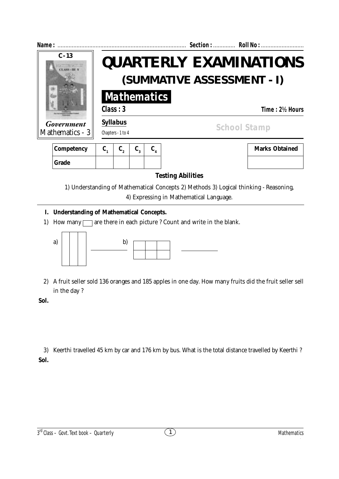

| Competency | ັັ |  |  |
|------------|----|--|--|
| Grade      |    |  |  |

## **Testing Abilities**

1) Understanding of Mathematical Concepts 2) Methods 3) Logical thinking - Reasoning, 4) Expressing in Mathematical Language.

#### **I. Understanding of Mathematical Concepts.**

1) How many  $\Box$  are there in each picture ? Count and write in the blank.



2) A fruit seller sold 136 oranges and 185 apples in one day. How many fruits did the fruit seller sell in the day ?

**Sol.**

3) Keerthi travelled 45 km by car and 176 km by bus. What is the total distance travelled by Keerthi ? **Sol.**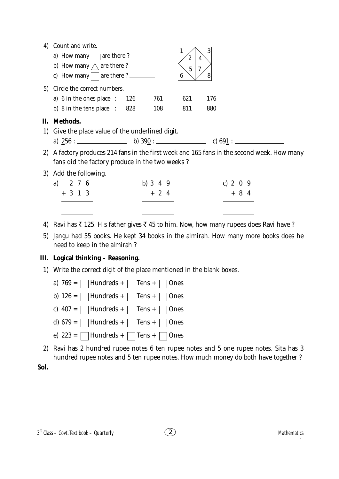| 4) | Count and write.                                                                           |                                            |  |  |  |  |  |
|----|--------------------------------------------------------------------------------------------|--------------------------------------------|--|--|--|--|--|
|    |                                                                                            | 3<br>$\mathbf{1}$<br>$\boldsymbol{2}$<br>4 |  |  |  |  |  |
|    | b) How many $\wedge$ are there ? ________                                                  | $5\overline{)}$                            |  |  |  |  |  |
|    | c) How many $\Box$ are there ? $\Box$                                                      | 6<br>8                                     |  |  |  |  |  |
|    | 5) Circle the correct numbers.                                                             |                                            |  |  |  |  |  |
|    | a) 6 in the ones place $\therefore$ 126<br>761                                             | 621<br>176                                 |  |  |  |  |  |
|    | b) 8 in the tens place $\therefore$ 828<br>108                                             | 811<br>880                                 |  |  |  |  |  |
|    | II. Methods.                                                                               |                                            |  |  |  |  |  |
|    | 1) Give the place value of the underlined digit.                                           |                                            |  |  |  |  |  |
|    |                                                                                            |                                            |  |  |  |  |  |
|    | 2) A factory produces 214 fans in the first week and 165 fans in the second week. How many |                                            |  |  |  |  |  |
|    | fans did the factory produce in the two weeks?                                             |                                            |  |  |  |  |  |
|    | 3) Add the following.                                                                      |                                            |  |  |  |  |  |
|    | b) 3 4 9<br>a) $2 \t7 \t6$                                                                 | c) $2 \t0 \t9$                             |  |  |  |  |  |
|    | $+ 2 4$<br>$+3$ 1 3                                                                        | $+ 8 4$                                    |  |  |  |  |  |
|    |                                                                                            |                                            |  |  |  |  |  |
|    |                                                                                            |                                            |  |  |  |  |  |

- 4) Ravi has  $\bar{\tau}$  125. His father gives  $\bar{\tau}$  45 to him. Now, how many rupees does Ravi have ?
- 5) Jangu had 55 books. He kept 34 books in the almirah. How many more books does he need to keep in the almirah ?

# **III. Logical thinking – Reasoning.**

- 1) Write the correct digit of the place mentioned in the blank boxes.
	- a)  $769 = \Box$  Hundreds +  $\Box$  Tens +  $\Box$  Ones
	- b)  $126 = \Box$  Hundreds +  $\Box$  Tens +  $\Box$  Ones
	- c)  $407 = \Box$  Hundreds +  $\Box$  Tens +  $\Box$  Ones
	- d) 679 =  $\Box$  Hundreds +  $\Box$  Tens +  $\Box$  Ones
	- e) 223 =  $\Box$  Hundreds +  $\Box$  Tens +  $\Box$  Ones
- 2) Ravi has 2 hundred rupee notes 6 ten rupee notes and 5 one rupee notes. Sita has 3 hundred rupee notes and 5 ten rupee notes. How much money do both have together ?

**Sol.**